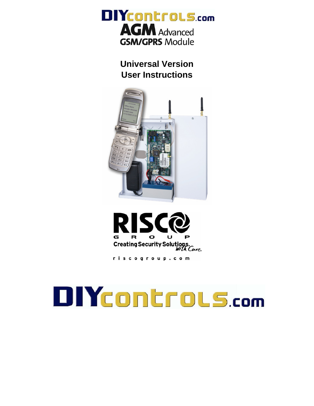

**Universal Version User Instructions** 





riscogroup.com

# **DIYCONTOLS.com**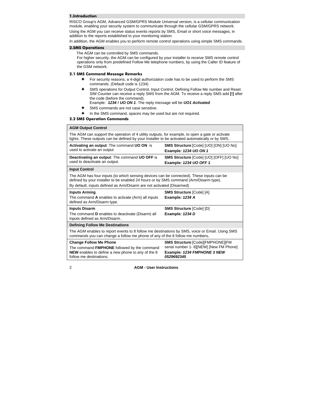## 1.Introduction

RISCO Group's AGM, Advanced GSM/GPRS Module Universal version, is a cellular communication module, enabling your security system to communicate through the cellular GSM/GPRS network.

Using the AGM you can receive status events reports by SMS, Email or short voice messages, in addition to the reports established to your monitoring station.

In addition, the AGM enables you to perform remote control operations using simple SMS commands.

### 2.SMS Operations

The AGM can be controlled by SMS commands.

For higher security, the AGM can be configured by your installer to receive SMS remote control operations only from predefined Follow Me telephone numbers, by using the Caller ID feature of the GSM network.

#### 2.1 SMS Command Message Remarks

- For security reasons, a 4-digit authorization code has to be used to perform the SMS commands. (Default code is 1234)
- $\ddotmark$  SMS operations for Output Control, Input Control, Defining Follow Me number and Reset SIM Counter can receive a reply SMS from the AGM. To receive a reply SMS add **[!]** after the code (before the command).
- Example: *1234 ! UO ON 1*. The reply message will be *UO1 Activated*
- $\bullet$ SMS commands are not case sensitive.
- $\ddotmark$ In the SMS command, spaces may be used but are not required.

### 2.2 SMS Operation Commands

| <b>AGM Output Control</b>                                                                                                                                                                                                                                  |                                                                          |  |
|------------------------------------------------------------------------------------------------------------------------------------------------------------------------------------------------------------------------------------------------------------|--------------------------------------------------------------------------|--|
| The AGM can support the operation of 4 utility outputs, for example, to open a gate or activate<br>lights. These outputs can be defined by your installer to be activated automatically or by SMS.                                                         |                                                                          |  |
| <b>Activating an output:</b> The command UO ON is<br>used to activate an output                                                                                                                                                                            | SMS Structure: [Code] [UO] [ON] [UO No]<br>Example: 1234 UO ON 1         |  |
| <b>Deactivating an output:</b> The command UO OFF is<br>used to deactivate an output.                                                                                                                                                                      | <b>SMS Structure [Code] [UO] [OFF] [UO No]</b><br>Example: 1234 UO OFF 1 |  |
| <b>Input Control</b>                                                                                                                                                                                                                                       |                                                                          |  |
| The AGM has four inputs (to which sensing devices can be connected). These inputs can be<br>defined by your installer to be enabled 24 hours or by SMS command (Arm/Disarm type).<br>By default, inputs defined as Arm/Disarm are not activated (Disarmed) |                                                                          |  |
| <b>Inputs Arming</b><br>The command A enables to activate (Arm) all inputs                                                                                                                                                                                 | <b>SMS Structure [Code] [A]</b><br>Example: 1234 A                       |  |
| defined as Arm/Disarm type.                                                                                                                                                                                                                                |                                                                          |  |
| <b>Inputs Disarm</b>                                                                                                                                                                                                                                       | <b>SMS Structure [Code] [D]</b>                                          |  |
| The command <b>D</b> enables to deactivate (Disarm) all<br>inputs defined as Arm/Disarm.                                                                                                                                                                   | Example: 1234 D                                                          |  |
| <b>Defining Follow Me Destinations</b>                                                                                                                                                                                                                     |                                                                          |  |
| The AGM enables to report events to 8 follow me destinations by SMS, voice or Email. Using SMS<br>commands you can change a follow me phone of any of the 8 follow me numbers.                                                                             |                                                                          |  |
| <b>Change Follow Me Phone</b>                                                                                                                                                                                                                              | <b>SMS Structure: [Code] [FMPHONE] [FM</b>                               |  |
| The command FMPHONE followed by the command                                                                                                                                                                                                                | serial number 1-8][NEW] [New FM Phone]                                   |  |
| NEW enables to define a new phone to any of the 8<br>follow me destinations.                                                                                                                                                                               | Example: 1234 FMPHONE 3 NEW<br>0529692345                                |  |

2 **AGM - User Instructions**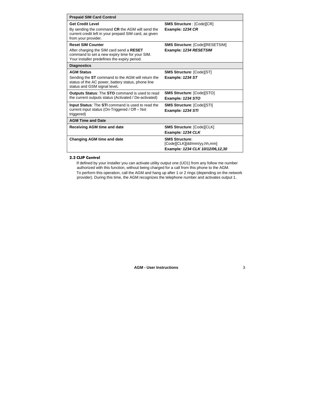| <b>Prepaid SIM Card Control</b>                                                                                                                              |                                                                                            |
|--------------------------------------------------------------------------------------------------------------------------------------------------------------|--------------------------------------------------------------------------------------------|
| <b>Get Credit Level</b>                                                                                                                                      | <b>SMS Structure: [Code][CR]</b>                                                           |
| By sending the command CR the AGM will send the<br>current credit left in your prepaid SIM card, as given<br>from your provider.                             | Example: 1234 CR                                                                           |
| <b>Reset SIM Counter</b>                                                                                                                                     | <b>SMS Structure: [Code][RESETSIM]</b>                                                     |
| After charging the SIM card send a RESET<br>command to set a new expiry time for your SIM.<br>Your installer predefines the expiry period.                   | Example: 1234 RESETSIM                                                                     |
| <b>Diagnostics</b>                                                                                                                                           |                                                                                            |
| <b>AGM Status</b><br>Sending the ST command to the AGM will return the<br>status of the AC power, battery status, phone line<br>status and GSM signal level. | <b>SMS Structure: [Code][ST]</b><br>Example: 1234 ST                                       |
| <b>Outputs Status: The STO command is used to read</b><br>the current outputs status (Activated / De-activated)                                              | <b>SMS Structure: [Code][STO]</b><br>Example: 1234 STO                                     |
| <b>Input Status:</b> The <b>STI</b> command is used to read the<br>current input status (On-Triggered / Off - Not<br>triggered)                              | <b>SMS Structure: [Code][STI]</b><br><b>Example: 1234 STI</b>                              |
| <b>AGM Time and Date</b>                                                                                                                                     |                                                                                            |
| Receiving AGM time and date                                                                                                                                  | <b>SMS Structure: [Code][CLK]</b><br>Example: 1234 CLK                                     |
| <b>Changing AGM time and date</b>                                                                                                                            | <b>SMS Structure:</b><br>[Code][CLK][dd/mm/yy,hh,mm]<br>Example: 1234 CLK 10/12/06, 12, 30 |

#### 2.3 CLIP Control

If defined by your installer you can activate utility output one (UO1) from any follow me number authorized with this function, without being charged for a call from this phone to the AGM.

To perform this operation, call the AGM and hang up after 1 or 2 rings (depending on the network provider). During this time, the AGM recognizes the telephone number and activates output 1.

**AGM - User Instructions** 3